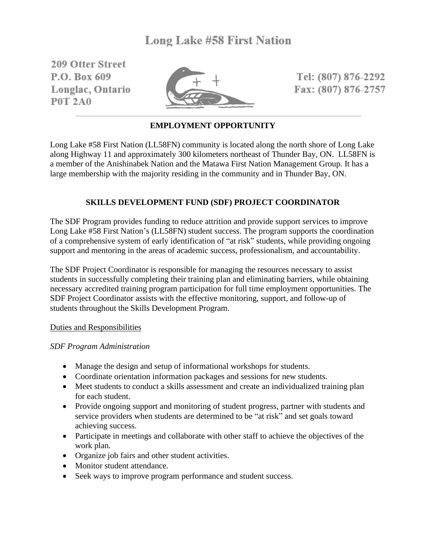209 Offer Street P.O. Box 609 Longlac, Ontario **P0T 2A0** 



Tel: (807) 876-2292 Fax: (807) 876-2757

# **EMPLOYMENT OPPORTUNITY**

Long Lake #58 First Nation (LL58FN) community is located along the north shore of Long Lake along Highway 11 and approximately 300 kilometers northeast of Thunder Bay, ON. LL58FN is a member of the Anishinabek Nation and the Matawa First Nation Management Group. It has a large membership with the majority residing in the community and in Thunder Bay, ON.

## **SKILLS DEVELOPMENT FUND (SDF) PROJECT COORDINATOR**

The SDF Program provides funding to reduce attrition and provide support services to improve Long Lake #58 First Nation's (LL58FN) student success. The program supports the coordination of a comprehensive system of early identification of "at risk" students, while providing ongoing support and mentoring in the areas of academic success, professionalism, and accountability.

The SDF Project Coordinator is responsible for managing the resources necessary to assist students in successfully completing their training plan and eliminating barriers, while obtaining necessary accredited training program participation for full time employment opportunities. The SDF Project Coordinator assists with the effective monitoring, support, and follow-up of students throughout the Skills Development Program.

### Duties and Responsibilities

### *SDF Program Administration*

- Manage the design and setup of informational workshops for students.
- Coordinate orientation information packages and sessions for new students.
- Meet students to conduct a skills assessment and create an individualized training plan for each student.
- Provide ongoing support and monitoring of student progress, partner with students and service providers when students are determined to be "at risk" and set goals toward achieving success.
- Participate in meetings and collaborate with other staff to achieve the objectives of the work plan.
- Organize job fairs and other student activities.
- Monitor student attendance.
- Seek ways to improve program performance and student success.